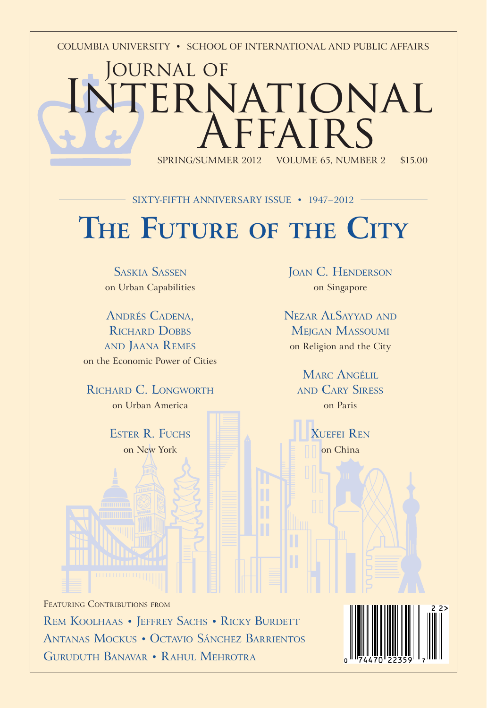COLUMBIA UNIVERSITY • SCHOOL OF INTERNATIONAL AND PUBLIC AFFAIRS

# Journal of TERNATIONAL  $ARF A I R S$ VOLUME 65, NUMBER 2 \$15.00

# **THE FUTURE OF THE CITY** SIXTY-FIFTH ANNIVERSARY ISSUE • 1947-2012

SASKIA SASSEN on Urban Capabilities

ANDRÉS CADENA, RICHARD DOBBS AND JAANA REMES on the Economic Power of Cities

RICHARD C. LONGWORTH on Urban America

> ESTER R. FUCHS on New York

JOAN C. HENDERSON on Singapore

NEZAR ALSAYYAD AND **MEIGAN MASSOUMI** on Religion and the City

MARC ANGÉLIL AND CARY SIRESS on Paris

> XUEFEI REN on China

FEATURING CONTRIBUTIONS FROM REM KOOLHAAS • JEFFREY SACHS • RICKY BURDETT ANTANAS MOCKUS • OCTAVIO SÁNCHEZ BARRIENTOS GURUDUTH BANAVAR • RAHUL MEHROTRA

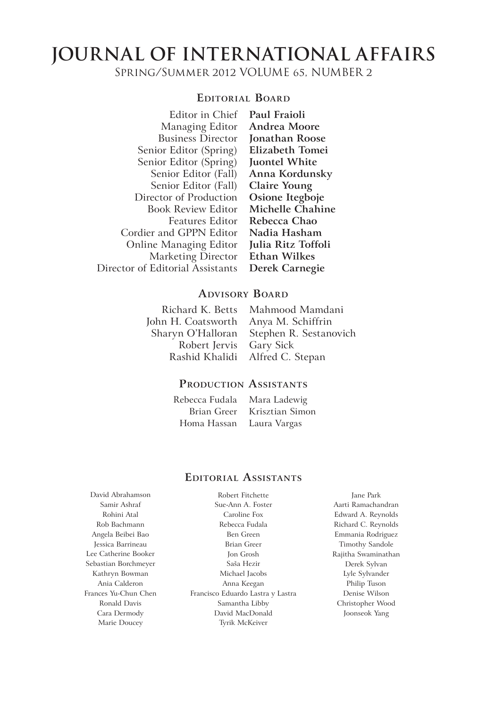# **JOURNAL OF INTERNATIONAL AFFAIRS**

SPRING/SUMMER 2012 VOLUME 65, NUMBER 2

#### **EDITORIAL BOARD**

Editor in Chief Managing Editor Business Director Senior Editor (Spring) Senior Editor (Spring) Senior Editor (Fall) Senior Editor (Fall) Director of Production Book Review Editor Features Editor Cordier and GPPN Editor Online Managing Editor Marketing Director Director of Editorial Assistants

**Paul Fraioli Andrea Moore Jonathan Roose Elizabeth Tomei Juontel White Anna Kordunsky Claire Young Osione Itegboje Michelle Chahine Rebecca Chao Nadia Hasham Julia Ritz Toffoli Ethan Wilkes Derek Carnegie**

#### **ADVISORY BOARD**

Richard K. Betts John H. Coatsworth Sharyn O'Halloran Robert Jervis Rashid Khalidi

Mahmood Mamdani Anya M. Schiffrin Stephen R. Sestanovich Gary Sick Alfred C. Stepan

#### **PRODUCTION ASSISTANTS**

Rebecca Fudala Brian Greer Homa Hassan Mara Ladewig Krisztian Simon Laura Vargas

### Robert Fitchette **EDITORIAL ASSISTANTS**

David Abrahamson Samir Ashraf Rohini Atal Rob Bachmann Angela Beibei Bao Jessica Barrineau Lee Catherine Booker Sebastian Borchmeyer Kathryn Bowman Ania Calderon Frances Yu-Chun Chen Ronald Davis Cara Dermody Marie Doucey

Sue-Ann A. Foster Caroline Fox Rebecca Fudala Ben Green Brian Greer Jon Grosh Saša Hezir Michael Jacobs Anna Keegan Francisco Eduardo Lastra y Lastra Samantha Libby David MacDonald Tyrik McKeiver

Jane Park Aarti Ramachandran Edward A. Reynolds Richard C. Reynolds Emmania Rodriguez Timothy Sandole Rajitha Swaminathan Derek Sylvan Lyle Sylvander Philip Tuson Denise Wilson Christopher Wood Joonseok Yang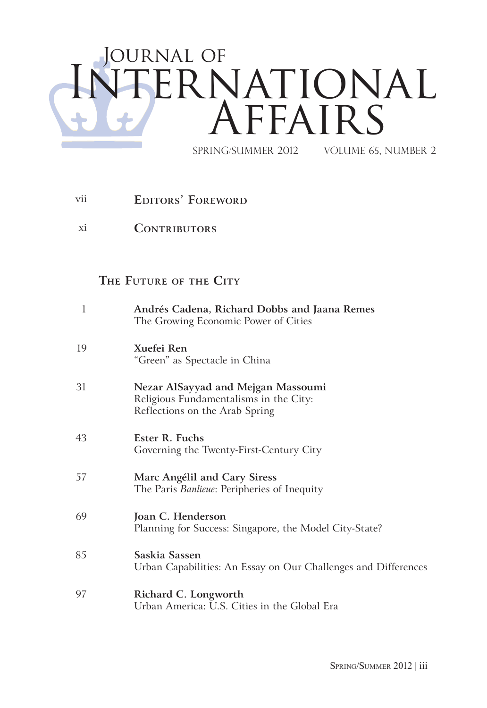# JOURNAL OF International Affairs spring/summer 2012 Volume 65, Number 2

- vii **EDITORS' FOREWORD**
- xi **CONTRIBUTORS**

## **THE FUTURE OF THE CITY**

| 1  | Andrés Cadena, Richard Dobbs and Jaana Remes<br>The Growing Economic Power of Cities                           |
|----|----------------------------------------------------------------------------------------------------------------|
| 19 | Xuefei Ren<br>"Green" as Spectacle in China                                                                    |
| 31 | Nezar AlSayyad and Mejgan Massoumi<br>Religious Fundamentalisms in the City:<br>Reflections on the Arab Spring |
| 43 | Ester R. Fuchs<br>Governing the Twenty-First-Century City                                                      |
| 57 | Marc Angélil and Cary Siress<br>The Paris Banlieue: Peripheries of Inequity                                    |
| 69 | Joan C. Henderson<br>Planning for Success: Singapore, the Model City-State?                                    |
| 85 | Saskia Sassen<br>Urban Capabilities: An Essay on Our Challenges and Differences                                |
| 97 | Richard C. Longworth<br>Urban America: U.S. Cities in the Global Era                                           |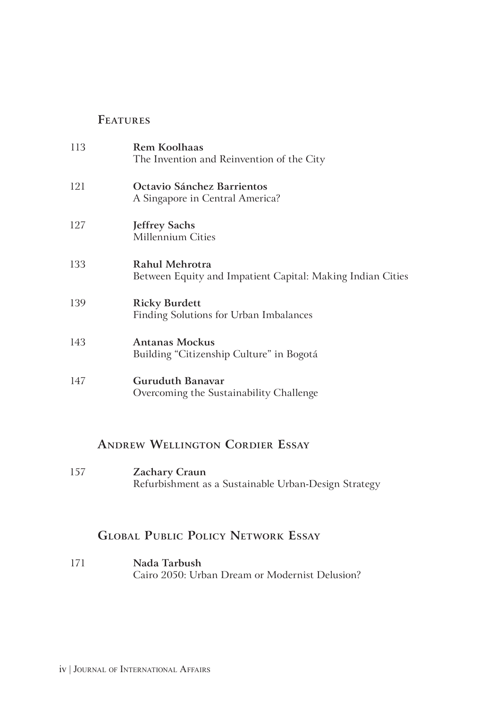### **FEATURES**

| 113 | Rem Koolhaas<br>The Invention and Reinvention of the City                    |
|-----|------------------------------------------------------------------------------|
| 121 | Octavio Sánchez Barrientos<br>A Singapore in Central America?                |
| 127 | <b>Jeffrey Sachs</b><br>Millennium Cities                                    |
| 133 | Rahul Mehrotra<br>Between Equity and Impatient Capital: Making Indian Cities |
| 139 | <b>Ricky Burdett</b><br>Finding Solutions for Urban Imbalances               |
| 143 | <b>Antanas Mockus</b><br>Building "Citizenship Culture" in Bogotá            |
| 147 | <b>Guruduth Banavar</b><br>Overcoming the Sustainability Challenge           |

## **ANDREW WELLINGTON CORDIER ESSAY**

157 **Zachary Craun** Refurbishment as a Sustainable Urban-Design Strategy

## **GLOBAL PUBLIC POLICY NETWORK ESSAY**

171 **Nada Tarbush** Cairo 2050: Urban Dream or Modernist Delusion?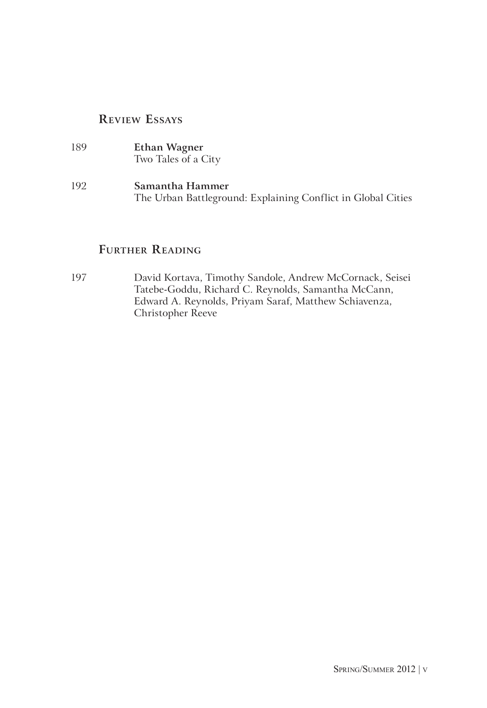### **REVIEW ESSAYS**

189 **Ethan Wagner** Two Tales of a City 192 **Samantha Hammer** The Urban Battleground: Explaining Conflict in Global Cities

### **FURTHER READING**

197 David Kortava, Timothy Sandole, Andrew McCornack, Seisei Tatebe-Goddu, Richard C. Reynolds, Samantha McCann, Edward A. Reynolds, Priyam Saraf, Matthew Schiavenza, Christopher Reeve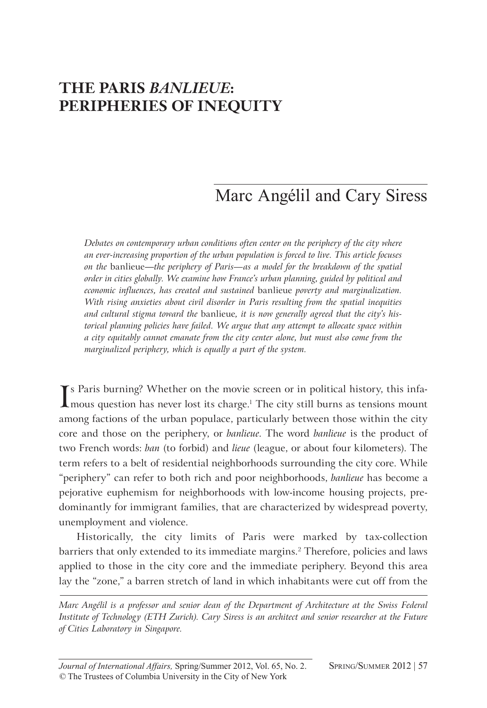# *THE PARIS BANLIEUE:* **PERIPHERIES OF INEQUITY**

# Marc Angélil and Cary Siress

*Debates on contemporary urban conditions often center on the periphery of the city where an ever-increasing proportion of the urban population is forced to live. This article focuses on the* banlieue—*the periphery of Paris—as a model for the breakdown of the spatial order in cities globally. We examine how France's urban planning, guided by political and economic influences, has created and sustained* banlieue *poverty and marginalization. With rising anxieties about civil disorder in Paris resulting from the spatial inequities and cultural stigma toward the* banlieue*, it is now generally agreed that the city's historical planning policies have failed. We argue that any attempt to allocate space within a city equitably cannot emanate from the city center alone, but must also come from the marginalized periphery, which is equally a part of the system.* 

If Paris burning? Whether on the movie screen or in political history, this infa-<br>Imous question has never lost its charge.<sup>1</sup> The city still burns as tensions mount mous question has never lost its charge.<sup>1</sup> The city still burns as tensions mount among factions of the urban populace, particularly between those within the city core and those on the periphery, or *banlieue*. The word *banlieue* is the product of two French words: *ban* (to forbid) and *lieue* (league, or about four kilometers). The term refers to a belt of residential neighborhoods surrounding the city core. While "periphery" can refer to both rich and poor neighborhoods, *banlieue* has become a pejorative euphemism for neighborhoods with low-income housing projects, predominantly for immigrant families, that are characterized by widespread poverty, unemployment and violence.

Historically, the city limits of Paris were marked by tax-collection barriers that only extended to its immediate margins.<sup>2</sup> Therefore, policies and laws applied to those in the city core and the immediate periphery. Beyond this area lay the "zone," a barren stretch of land in which inhabitants were cut off from the

*Marc Angélil is a professor and senior dean of the Department of Architecture at the Swiss Federal Institute of Technology (ETH Zurich). Cary Siress is an architect and senior researcher at the Future of Cities Laboratory in Singapore.*

*Journal of International Affairs,* Spring/Summer 2012, Vol. 65, No. 2. SPRING/SUMMER 2012 | 57 *©* The Trustees of Columbia University in the City of New York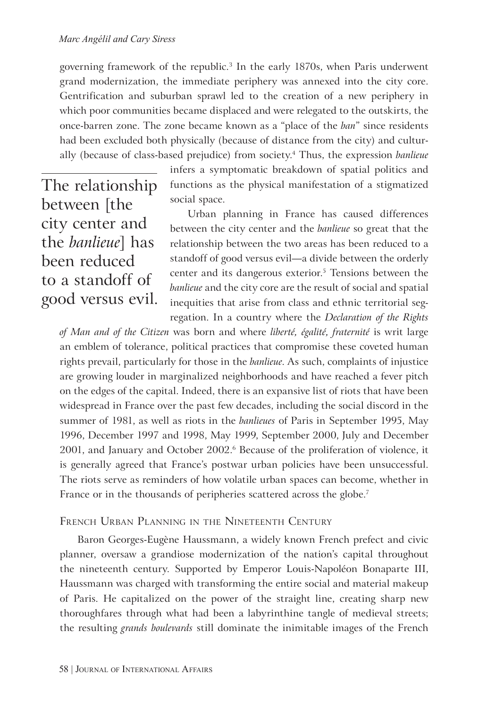governing framework of the republic.3 In the early 1870s, when Paris underwent grand modernization, the immediate periphery was annexed into the city core. Gentrification and suburban sprawl led to the creation of a new periphery in which poor communities became displaced and were relegated to the outskirts, the once-barren zone. The zone became known as a "place of the *ban*" since residents had been excluded both physically (because of distance from the city) and culturally (because of class-based prejudice) from society.4 Thus, the expression *banlieue* 

The relationship between [the city center and the *banlieue*] has been reduced to a standoff of good versus evil. infers a symptomatic breakdown of spatial politics and functions as the physical manifestation of a stigmatized social space.

Urban planning in France has caused differences between the city center and the *banlieue* so great that the relationship between the two areas has been reduced to a standoff of good versus evil—a divide between the orderly center and its dangerous exterior.<sup>5</sup> Tensions between the *banlieue* and the city core are the result of social and spatial inequities that arise from class and ethnic territorial segregation. In a country where the *Declaration of the Rights* 

*of Man and of the Citizen* was born and where *liberté, égalité, fraternité* is writ large an emblem of tolerance, political practices that compromise these coveted human rights prevail, particularly for those in the *banlieue*. As such, complaints of injustice are growing louder in marginalized neighborhoods and have reached a fever pitch on the edges of the capital. Indeed, there is an expansive list of riots that have been widespread in France over the past few decades, including the social discord in the summer of 1981, as well as riots in the *banlieues* of Paris in September 1995, May 1996, December 1997 and 1998, May 1999, September 2000, July and December 2001, and January and October 2002.6 Because of the proliferation of violence, it is generally agreed that France's postwar urban policies have been unsuccessful. The riots serve as reminders of how volatile urban spaces can become, whether in France or in the thousands of peripheries scattered across the globe.<sup>7</sup>

#### FRENCH URBAN PLANNING IN THE NINETEENTH CENTURY

Baron Georges-Eugène Haussmann, a widely known French prefect and civic planner, oversaw a grandiose modernization of the nation's capital throughout the nineteenth century. Supported by Emperor Louis-Napoléon Bonaparte III, Haussmann was charged with transforming the entire social and material makeup of Paris. He capitalized on the power of the straight line, creating sharp new thoroughfares through what had been a labyrinthine tangle of medieval streets; the resulting *grands boulevards* still dominate the inimitable images of the French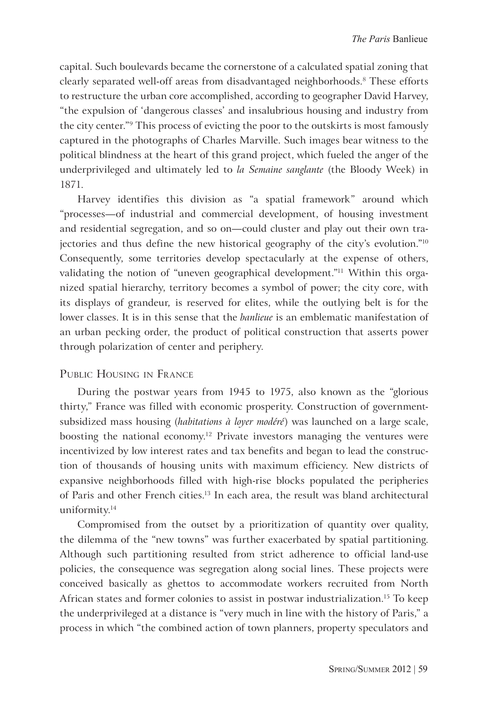capital. Such boulevards became the cornerstone of a calculated spatial zoning that clearly separated well-off areas from disadvantaged neighborhoods.<sup>8</sup> These efforts to restructure the urban core accomplished, according to geographer David Harvey, "the expulsion of 'dangerous classes' and insalubrious housing and industry from the city center."9 This process of evicting the poor to the outskirts is most famously captured in the photographs of Charles Marville. Such images bear witness to the political blindness at the heart of this grand project, which fueled the anger of the underprivileged and ultimately led to *la Semaine sanglante* (the Bloody Week) in 1871.

Harvey identifies this division as "a spatial framework" around which "processes—of industrial and commercial development, of housing investment and residential segregation, and so on—could cluster and play out their own trajectories and thus define the new historical geography of the city's evolution."<sup>10</sup> Consequently, some territories develop spectacularly at the expense of others, validating the notion of "uneven geographical development."11 Within this organized spatial hierarchy, territory becomes a symbol of power; the city core, with its displays of grandeur*,* is reserved for elites, while the outlying belt is for the lower classes. It is in this sense that the *banlieue* is an emblematic manifestation of an urban pecking order, the product of political construction that asserts power through polarization of center and periphery.

#### PUBLIC HOUSING IN FRANCE

During the postwar years from 1945 to 1975, also known as the "glorious thirty," France was filled with economic prosperity. Construction of governmentsubsidized mass housing (*habitations à loyer modéré*) was launched on a large scale, boosting the national economy.<sup>12</sup> Private investors managing the ventures were incentivized by low interest rates and tax benefits and began to lead the construction of thousands of housing units with maximum efficiency. New districts of expansive neighborhoods filled with high-rise blocks populated the peripheries of Paris and other French cities.13 In each area, the result was bland architectural uniformity.<sup>14</sup>

Compromised from the outset by a prioritization of quantity over quality, the dilemma of the "new towns" was further exacerbated by spatial partitioning. Although such partitioning resulted from strict adherence to official land-use policies, the consequence was segregation along social lines. These projects were conceived basically as ghettos to accommodate workers recruited from North African states and former colonies to assist in postwar industrialization.<sup>15</sup> To keep the underprivileged at a distance is "very much in line with the history of Paris," a process in which "the combined action of town planners, property speculators and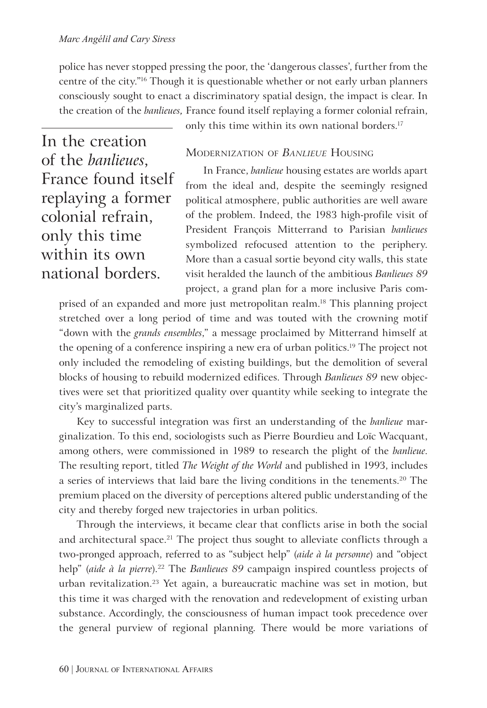police has never stopped pressing the poor, the 'dangerous classes', further from the centre of the city."16 Though it is questionable whether or not early urban planners consciously sought to enact a discriminatory spatial design, the impact is clear. In the creation of the *banlieues,* France found itself replaying a former colonial refrain,

only this time within its own national borders.<sup>17</sup>

In the creation of the *banlieues*, France found itself replaying a former colonial refrain, only this time within its own national borders.

#### MODERNIZATION OF *BANLIEUE* HOUSING

In France, *banlieue* housing estates are worlds apart from the ideal and, despite the seemingly resigned political atmosphere, public authorities are well aware of the problem. Indeed, the 1983 high-profile visit of President François Mitterrand to Parisian *banlieues* symbolized refocused attention to the periphery. More than a casual sortie beyond city walls, this state visit heralded the launch of the ambitious *Banlieues 89*  project, a grand plan for a more inclusive Paris com-

prised of an expanded and more just metropolitan realm.<sup>18</sup> This planning project stretched over a long period of time and was touted with the crowning motif "down with the *grands ensembles*," a message proclaimed by Mitterrand himself at the opening of a conference inspiring a new era of urban politics.<sup>19</sup> The project not only included the remodeling of existing buildings, but the demolition of several blocks of housing to rebuild modernized edifices. Through *Banlieues 89* new objectives were set that prioritized quality over quantity while seeking to integrate the city's marginalized parts.

Key to successful integration was first an understanding of the *banlieue* marginalization. To this end, sociologists such as Pierre Bourdieu and Loïc Wacquant, among others, were commissioned in 1989 to research the plight of the *banlieue*. The resulting report, titled *The Weight of the World* and published in 1993, includes a series of interviews that laid bare the living conditions in the tenements.20 The premium placed on the diversity of perceptions altered public understanding of the city and thereby forged new trajectories in urban politics.

Through the interviews, it became clear that conflicts arise in both the social and architectural space.<sup>21</sup> The project thus sought to alleviate conflicts through a two-pronged approach, referred to as "subject help" (*aide à la personne*) and "object help" (aide à la pierre).<sup>22</sup> The *Banlieues 89* campaign inspired countless projects of urban revitalization.23 Yet again, a bureaucratic machine was set in motion, but this time it was charged with the renovation and redevelopment of existing urban substance. Accordingly, the consciousness of human impact took precedence over the general purview of regional planning. There would be more variations of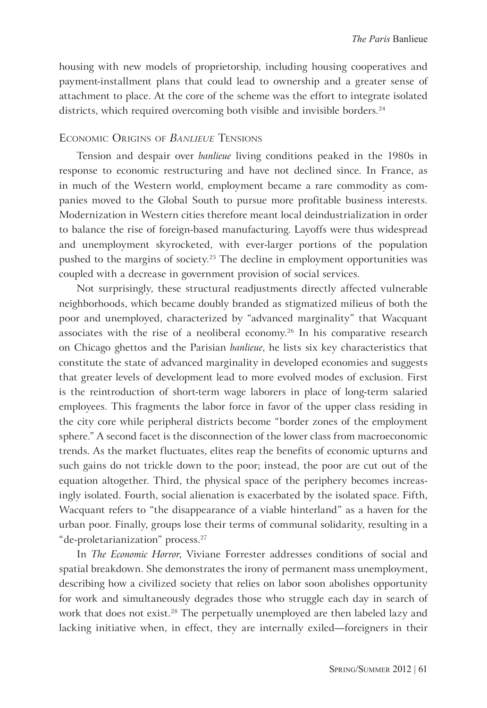housing with new models of proprietorship, including housing cooperatives and payment-installment plans that could lead to ownership and a greater sense of attachment to place. At the core of the scheme was the effort to integrate isolated districts, which required overcoming both visible and invisible borders.<sup>24</sup>

#### ECONOMIC ORIGINS OF *BANLIEUE* TENSIONS

Tension and despair over *banlieue* living conditions peaked in the 1980s in response to economic restructuring and have not declined since. In France, as in much of the Western world, employment became a rare commodity as companies moved to the Global South to pursue more profitable business interests. Modernization in Western cities therefore meant local deindustrialization in order to balance the rise of foreign-based manufacturing. Layoffs were thus widespread and unemployment skyrocketed, with ever-larger portions of the population pushed to the margins of society.<sup>25</sup> The decline in employment opportunities was coupled with a decrease in government provision of social services.

Not surprisingly, these structural readjustments directly affected vulnerable neighborhoods, which became doubly branded as stigmatized milieus of both the poor and unemployed, characterized by "advanced marginality" that Wacquant associates with the rise of a neoliberal economy.26 In his comparative research on Chicago ghettos and the Parisian *banlieue*, he lists six key characteristics that constitute the state of advanced marginality in developed economies and suggests that greater levels of development lead to more evolved modes of exclusion. First is the reintroduction of short-term wage laborers in place of long-term salaried employees. This fragments the labor force in favor of the upper class residing in the city core while peripheral districts become "border zones of the employment sphere." A second facet is the disconnection of the lower class from macroeconomic trends. As the market fluctuates, elites reap the benefits of economic upturns and such gains do not trickle down to the poor; instead, the poor are cut out of the equation altogether. Third, the physical space of the periphery becomes increasingly isolated. Fourth, social alienation is exacerbated by the isolated space. Fifth, Wacquant refers to "the disappearance of a viable hinterland" as a haven for the urban poor. Finally, groups lose their terms of communal solidarity, resulting in a "de-proletarianization" process.27

In *The Economic Horror*, Viviane Forrester addresses conditions of social and spatial breakdown. She demonstrates the irony of permanent mass unemployment, describing how a civilized society that relies on labor soon abolishes opportunity for work and simultaneously degrades those who struggle each day in search of work that does not exist.<sup>28</sup> The perpetually unemployed are then labeled lazy and lacking initiative when, in effect, they are internally exiled—foreigners in their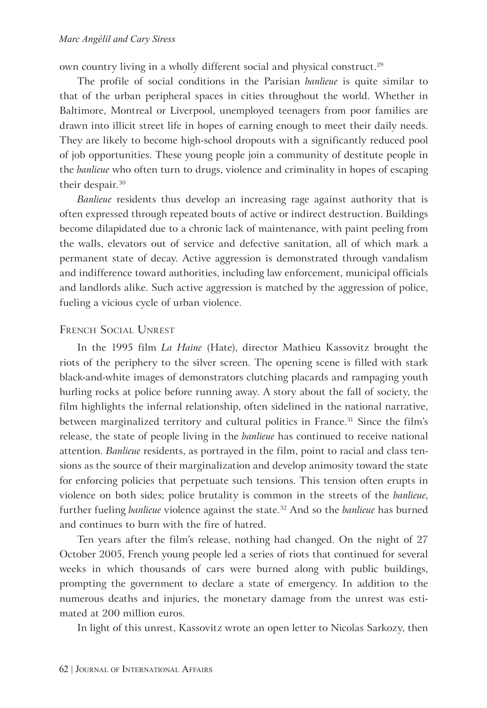own country living in a wholly different social and physical construct.<sup>29</sup>

The profile of social conditions in the Parisian *banlieue* is quite similar to that of the urban peripheral spaces in cities throughout the world. Whether in Baltimore, Montreal or Liverpool, unemployed teenagers from poor families are drawn into illicit street life in hopes of earning enough to meet their daily needs. They are likely to become high-school dropouts with a significantly reduced pool of job opportunities. These young people join a community of destitute people in the *banlieue* who often turn to drugs, violence and criminality in hopes of escaping their despair.<sup>30</sup>

*Banlieue* residents thus develop an increasing rage against authority that is often expressed through repeated bouts of active or indirect destruction. Buildings become dilapidated due to a chronic lack of maintenance, with paint peeling from the walls, elevators out of service and defective sanitation, all of which mark a permanent state of decay. Active aggression is demonstrated through vandalism and indifference toward authorities, including law enforcement, municipal officials and landlords alike. Such active aggression is matched by the aggression of police, fueling a vicious cycle of urban violence.

#### FRENCH SOCIAL UNREST

In the 1995 film *La Haine* (Hate), director Mathieu Kassovitz brought the riots of the periphery to the silver screen. The opening scene is filled with stark black-and-white images of demonstrators clutching placards and rampaging youth hurling rocks at police before running away. A story about the fall of society, the film highlights the infernal relationship, often sidelined in the national narrative, between marginalized territory and cultural politics in France.<sup>31</sup> Since the film's release, the state of people living in the *banlieue* has continued to receive national attention. *Banlieue* residents, as portrayed in the film, point to racial and class tensions as the source of their marginalization and develop animosity toward the state for enforcing policies that perpetuate such tensions. This tension often erupts in violence on both sides; police brutality is common in the streets of the *banlieue*, further fueling *banlieue* violence against the state.32 And so the *banlieue* has burned and continues to burn with the fire of hatred.

Ten years after the film's release, nothing had changed. On the night of 27 October 2005, French young people led a series of riots that continued for several weeks in which thousands of cars were burned along with public buildings, prompting the government to declare a state of emergency. In addition to the numerous deaths and injuries, the monetary damage from the unrest was estimated at 200 million euros.

In light of this unrest, Kassovitz wrote an open letter to Nicolas Sarkozy, then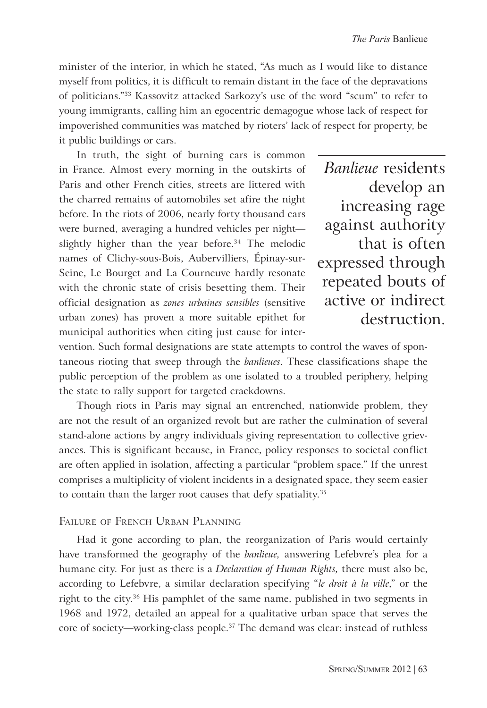minister of the interior, in which he stated, "As much as I would like to distance myself from politics, it is difficult to remain distant in the face of the depravations of politicians."33 Kassovitz attacked Sarkozy's use of the word "scum" to refer to young immigrants, calling him an egocentric demagogue whose lack of respect for impoverished communities was matched by rioters' lack of respect for property, be it public buildings or cars.

In truth, the sight of burning cars is common in France. Almost every morning in the outskirts of Paris and other French cities, streets are littered with the charred remains of automobiles set afire the night before. In the riots of 2006, nearly forty thousand cars were burned, averaging a hundred vehicles per night slightly higher than the year before. $34$  The melodic names of Clichy-sous-Bois, Aubervilliers, Épinay-sur-Seine, Le Bourget and La Courneuve hardly resonate with the chronic state of crisis besetting them. Their official designation as *zones urbaines sensibles* (sensitive urban zones) has proven a more suitable epithet for municipal authorities when citing just cause for inter-

*Banlieue* residents develop an increasing rage against authority that is often expressed through repeated bouts of active or indirect destruction.

vention. Such formal designations are state attempts to control the waves of spontaneous rioting that sweep through the *banlieues*. These classifications shape the public perception of the problem as one isolated to a troubled periphery, helping the state to rally support for targeted crackdowns.

Though riots in Paris may signal an entrenched, nationwide problem, they are not the result of an organized revolt but are rather the culmination of several stand-alone actions by angry individuals giving representation to collective grievances. This is significant because, in France, policy responses to societal conflict are often applied in isolation, affecting a particular "problem space." If the unrest comprises a multiplicity of violent incidents in a designated space, they seem easier to contain than the larger root causes that defy spatiality.<sup>35</sup>

#### FAILURE OF FRENCH URBAN PLANNING

Had it gone according to plan, the reorganization of Paris would certainly have transformed the geography of the *banlieue,* answering Lefebvre's plea for a humane city. For just as there is a *Declaration of Human Rights,* there must also be, according to Lefebvre, a similar declaration specifying "*le droit à la ville*," or the right to the city.<sup>36</sup> His pamphlet of the same name, published in two segments in 1968 and 1972, detailed an appeal for a qualitative urban space that serves the core of society—working-class people.37 The demand was clear: instead of ruthless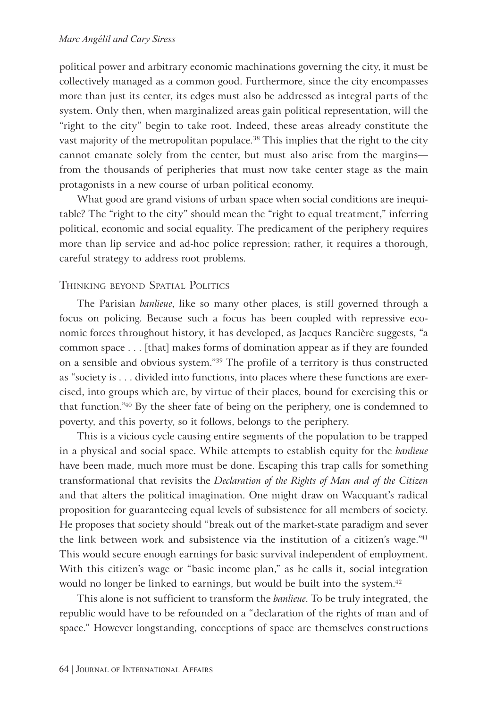political power and arbitrary economic machinations governing the city, it must be collectively managed as a common good. Furthermore, since the city encompasses more than just its center, its edges must also be addressed as integral parts of the system. Only then, when marginalized areas gain political representation, will the "right to the city" begin to take root. Indeed, these areas already constitute the vast majority of the metropolitan populace.<sup>38</sup> This implies that the right to the city cannot emanate solely from the center, but must also arise from the margins from the thousands of peripheries that must now take center stage as the main protagonists in a new course of urban political economy.

What good are grand visions of urban space when social conditions are inequitable? The "right to the city" should mean the "right to equal treatment," inferring political, economic and social equality. The predicament of the periphery requires more than lip service and ad-hoc police repression; rather, it requires a thorough, careful strategy to address root problems*.*

#### THINKING BEYOND SPATIAL POLITICS

The Parisian *banlieue*, like so many other places, is still governed through a focus on policing. Because such a focus has been coupled with repressive economic forces throughout history, it has developed, as Jacques Rancière suggests, "a common space . . . [that] makes forms of domination appear as if they are founded on a sensible and obvious system."39 The profile of a territory is thus constructed as "society is . . . divided into functions, into places where these functions are exercised, into groups which are, by virtue of their places, bound for exercising this or that function."40 By the sheer fate of being on the periphery, one is condemned to poverty, and this poverty, so it follows, belongs to the periphery.

This is a vicious cycle causing entire segments of the population to be trapped in a physical and social space. While attempts to establish equity for the *banlieue* have been made, much more must be done. Escaping this trap calls for something transformational that revisits the *Declaration of the Rights of Man and of the Citizen* and that alters the political imagination. One might draw on Wacquant's radical proposition for guaranteeing equal levels of subsistence for all members of society. He proposes that society should "break out of the market-state paradigm and sever the link between work and subsistence via the institution of a citizen's wage."<sup>41</sup> This would secure enough earnings for basic survival independent of employment. With this citizen's wage or "basic income plan," as he calls it, social integration would no longer be linked to earnings, but would be built into the system.<sup>42</sup>

This alone is not sufficient to transform the *banlieue*. To be truly integrated, the republic would have to be refounded on a "declaration of the rights of man and of space." However longstanding, conceptions of space are themselves constructions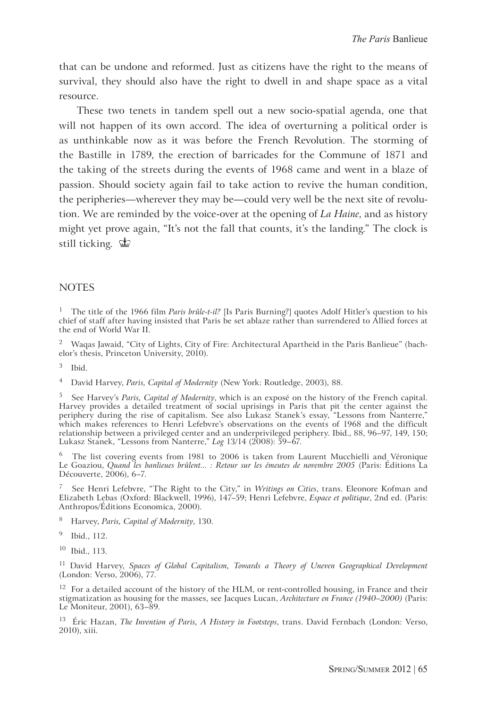that can be undone and reformed. Just as citizens have the right to the means of survival, they should also have the right to dwell in and shape space as a vital resource.

These two tenets in tandem spell out a new socio-spatial agenda, one that will not happen of its own accord. The idea of overturning a political order is as unthinkable now as it was before the French Revolution. The storming of the Bastille in 1789, the erection of barricades for the Commune of 1871 and the taking of the streets during the events of 1968 came and went in a blaze of passion. Should society again fail to take action to revive the human condition, the peripheries*—*wherever they may be—could very well be the next site of revolution. We are reminded by the voice-over at the opening of *La Haine*, and as history might yet prove again, "It's not the fall that counts, it's the landing." The clock is still ticking.  $\Phi$ 

#### **NOTES**

<sup>1</sup> The title of the 1966 film *Paris brûle-t-il?* [Is Paris Burning?] quotes Adolf Hitler's question to his chief of staff after having insisted that Paris be set ablaze rather than surrendered to Allied forces at the end of World War II.

2 Waqas Jawaid, "City of Lights, City of Fire: Architectural Apartheid in the Paris Banlieue" (bachelor's thesis, Princeton University, 2010).

4 David Harvey, *Paris, Capital of Modernity* (New York: Routledge, 2003), 88.

5 See Harvey's *Paris, Capital of Modernity*, which is an exposé on the history of the French capital. Harvey provides a detailed treatment of social uprisings in Paris that pit the center against the periphery during the rise of capitalism. See also Lukasz Stanek's essay, "Lessons from Nanterre," which makes references to Henri Lefebvre's observations on the events of 1968 and the difficult relationship between a privileged center and an underprivileged periphery. Ibid., 88, 96–97, 149, 150; Lukasz Stanek, "Lessons from Nanterre," *Log* 13/14 (2008): 59–67.

6 The list covering events from 1981 to 2006 is taken from Laurent Mucchielli and Véronique Le Goaziou, *Quand les banlieues brûlent... : Retour sur les émeutes de novembre 2005* (Paris: Éditions La Découverte, 2006), 6–7.

7 See Henri Lefebvre, "The Right to the City," in *Writings on Cities*, trans. Eleonore Kofman and Elizabeth Lebas (Oxford: Blackwell, 1996), 147–59; Henri Lefebvre, *Espace et politique*, 2nd ed. (Paris: Anthropos/Éditions Economica, 2000).

- 8 Harvey, *Paris, Capital of Modernity*, 130.
- 9 Ibid., 112.
- 10 Ibid., 113.

11 David Harvey, *Spaces of Global Capitalism, Towards a Theory of Uneven Geographical Development* (London: Verso, 2006), 77.

 $12$  For a detailed account of the history of the HLM, or rent-controlled housing, in France and their stigmatization as housing for the masses, see Jacques Lucan, *Architecture en France (1940–2000)* (Paris: Le Moniteur, 2001), 63–89.

13 Éric Hazan, *The Invention of Paris, A History in Footsteps*, trans. David Fernbach (London: Verso, 2010), xiii.

<sup>3</sup> Ibid.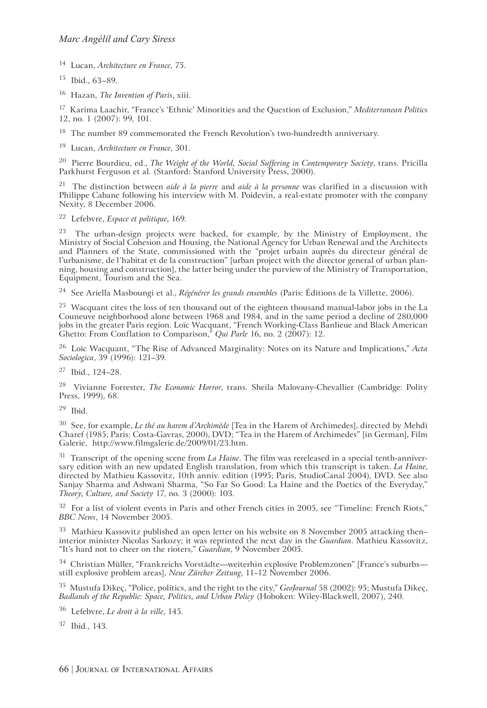14 Lucan, *Architecture en France*, 75.

15 Ibid., 63–89.

16 Hazan, *The Invention of Paris*, xiii.

17 Karima Laachir, "France's 'Ethnic' Minorities and the Question of Exclusion," *Mediterranean Politics*  12, no. 1 (2007): 99, 101.

<sup>18</sup> The number 89 commemorated the French Revolution's two-hundredth anniversary.

19 Lucan, *Architecture en France*, 301.

20 Pierre Bourdieu, ed., *The Weight of the World, Social Suffering in Contemporary Society*, trans. Pricilla Parkhurst Ferguson et al. (Stanford: Stanford University Press, 2000).

21 The distinction between *aide à la pierre* and *aide à la personne* was clarified in a discussion with Philippe Cabane following his interview with M. Poidevin, a real-estate promoter with the company Nexity, 8 December 2006.

22 Lefebvre, *Espace et politique*, 169.

 $23$  The urban-design projects were backed, for example, by the Ministry of Employment, the Ministry of Social Cohesion and Housing, the National Agency for Urban Renewal and the Architects and Planners of the State, commissioned with the "projet urbain auprès du directeur général de l'urbanisme, de l'habitat et de la construction" [urban project with the director general of urban planning, housing and construction], the latter being under the purview of the Ministry of Transportation, Equipment, Tourism and the Sea.

24 See Ariella Masboungi et al., *Régénérer les grands ensembles* (Paris: Éditions de la Villette, 2006).

 $25$  Wacquant cites the loss of ten thousand out of the eighteen thousand manual-labor jobs in the La Couneuve neighborhood alone between 1968 and 1984, and in the same period a decline of 280,000 jobs in the greater Paris region. Loïc Wacquant, "French Working-Class Banlieue and Black American Ghetto: From Conflation to Comparison," *Qui Parle* 16, no. 2 (2007): 12.

26 Loïc Wacquant, "The Rise of Advanced Marginality: Notes on its Nature and Implications," *Acta Sociologica*, 39 (1996): 121–39.

27 Ibid., 124–28.

28 Vivianne Forrester, *The Economic Horror*, trans. Sheila Malovany-Chevallier (Cambridge: Polity Press, 1999), 68.

 $29$  Ibid.

30 See, for example, *Le thé au harem d'Archimède* [Tea in the Harem of Archimedes], directed by Mehdi Charef (1985; Paris: Costa-Gavras, 2000), DVD; "Tea in the Harem of Archimedes" [in German], Film Galerie, http://www.filmgalerie.de/2009/01/23.htm.

31 Transcript of the opening scene from *La Haine*. The film was rereleased in a special tenth-anniversary edition with an new updated English translation, from which this transcript is taken. *La Haine*, directed by Mathieu Kassovitz, 10th anniv. edition (1995; Paris, StudioCanal 2004), DVD. See also Sanjay Sharma and Ashwani Sharma, "So Far So Good: La Haine and the Poetics of the Everyday," *Theory, Culture, and Society* 17, no. 3 (2000): 103.

<sup>32</sup> For a list of violent events in Paris and other French cities in 2005, see "Timeline: French Riots," *BBC News*, 14 November 2005.

<sup>33</sup> Mathieu Kassovitz published an open letter on his website on 8 November 2005 attacking then– interior minister Nicolas Sarkozy; it was reprinted the next day in the *Guardian*. Mathieu Kassovitz, "It's hard not to cheer on the rioters," *Guardian*, 9 November 2005.

<sup>34</sup> Christian Müller, "Frankreichs Vorstädte—weiterhin explosive Problemzonen" [France's suburbs still explosive problem areas], *Neue Zürcher Zeitung*, 11–12 November 2006.

35 Mustufa Dikeç, "Police, politics, and the right to the city," *GeoJournal* 58 (2002): 95; Mustufa Dikeç, *Badlands of the Republic: Space, Politics, and Urban Policy* (Hoboken: Wiley-Blackwell, 2007), 240.

36 Lefebvre, *Le droit à la ville*, 145.

37 Ibid., 143.